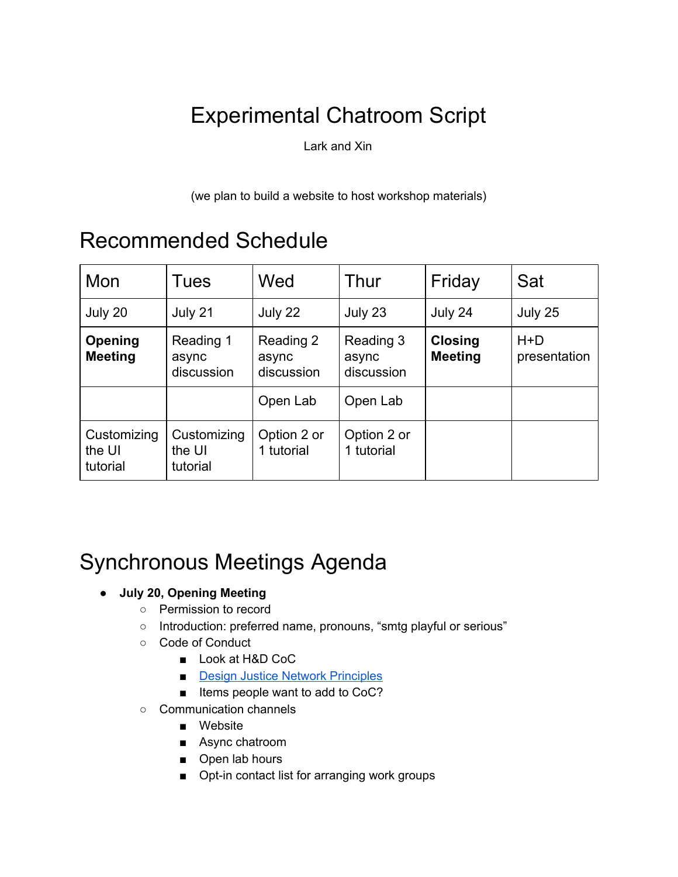# Experimental Chatroom Script

Lark and Xin

(we plan to build a website to host workshop materials)

## Recommended Schedule

| Mon                               | Tues                              | Wed                              | Thur                             | Friday                           | Sat                   |
|-----------------------------------|-----------------------------------|----------------------------------|----------------------------------|----------------------------------|-----------------------|
| July 20                           | July 21                           | July 22                          | July 23                          | July 24                          | July 25               |
| Opening<br><b>Meeting</b>         | Reading 1<br>async<br>discussion  | Reading 2<br>async<br>discussion | Reading 3<br>async<br>discussion | <b>Closing</b><br><b>Meeting</b> | $H+D$<br>presentation |
|                                   |                                   | Open Lab                         | Open Lab                         |                                  |                       |
| Customizing<br>the UI<br>tutorial | Customizing<br>the UI<br>tutorial | Option 2 or<br>1 tutorial        | Option 2 or<br>1 tutorial        |                                  |                       |

# Synchronous Meetings Agenda

- **● July 20, Opening Meeting**
	- Permission to record
	- o Introduction: preferred name, pronouns, "smtg playful or serious"
	- Code of Conduct
		- Look at H&D CoC
		- **Design Justice Network [Principles](https://designjustice.org/read-the-principles)**
		- Items people want to add to CoC?
	- Communication channels
		- Website
		- Async chatroom
		- Open lab hours
		- Opt-in contact list for arranging work groups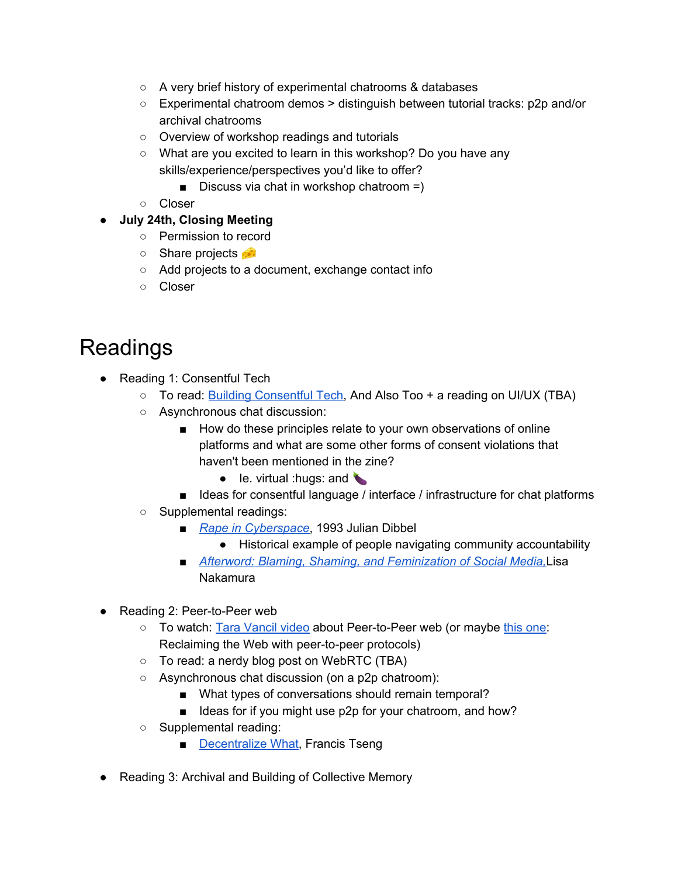- A very brief history of experimental chatrooms & databases
- Experimental chatroom demos > distinguish between tutorial tracks: p2p and/or archival chatrooms
- Overview of workshop readings and tutorials
- What are you excited to learn in this workshop? Do you have any skills/experience/perspectives you'd like to offer?
	- Discuss via chat in workshop chatroom  $=$ )
- Closer
- **● July 24th, Closing Meeting**
	- Permission to record
	- Share projects **•••**
	- Add projects to a document, exchange contact info
	- Closer

## Readings

- Reading 1: Consentful Tech
	- To read: **Building [Consentful](https://www.andalsotoo.net/wp-content/uploads/2018/10/Building-Consentful-Tech-Zine-SPREADS.pdf) Tech**, And Also Too + a reading on UI/UX (TBA)
	- Asynchronous chat discussion:
		- How do these principles relate to your own observations of online platforms and what are some other forms of consent violations that haven't been mentioned in the zine?
			- $\bullet$  le. virtual : hugs: and
		- Ideas for consentful language / interface / infrastructure for chat platforms
	- Supplemental readings:
		- *Rape in [Cyberspace](http://www.juliandibbell.com/articles/a-rape-in-cyberspace/)*, 1993 Julian Dibbel
			- Historical example of people navigating community accountability
		- *Afterword: Blaming, Shaming, and [Feminization](https://lnakamur.files.wordpress.com/2011/01/nakamura-afterword-feminist-surveillance-studies.pdf) of Social Media,Lisa* Nakamura
- Reading 2: Peer-to-Peer web
	- To watch: Tara [Vancil](https://peer-to-peer-web.com/los-angeles/2017-12-10) video about Peer-to-Peer web (or maybe this [one:](https://www.youtube.com/watch?v=2Q9TlvqE9_Y) Reclaiming the Web with peer-to-peer protocols)
	- To read: a nerdy blog post on WebRTC (TBA)
	- Asynchronous chat discussion (on a p2p chatroom):
		- What types of conversations should remain temporal?
		- Ideas for if you might use p2p for your chatroom, and how?
	- Supplemental reading:
		- [Decentralize](https://phenomenalworld.org/analysis/decentralize-what) What, Francis Tseng
- Reading 3: Archival and Building of Collective Memory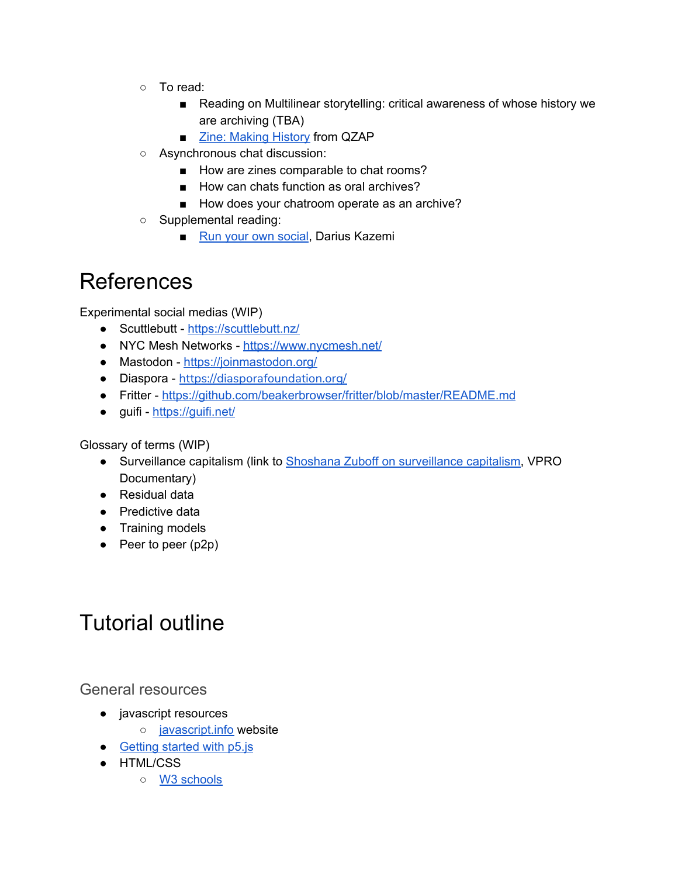- To read:
	- Reading on Multilinear storytelling: critical awareness of whose history we are archiving (TBA)
	- Zine: [Making](https://archive.qzap.org/index.php/Detail/Object/Show/object_id/181) History from QZAP
- Asynchronous chat discussion:
	- How are zines comparable to chat rooms?
	- How can chats function as oral archives?
	- How does your chatroom operate as an archive?
- Supplemental reading:
	- Run your own [social,](https://runyourown.social/#who-this-guide-is-for) Darius Kazemi

## References

Experimental social medias (WIP)

- Scuttlebutt <https://scuttlebutt.nz/>
- NYC Mesh Networks <https://www.nycmesh.net/>
- Mastodon <https://joinmastodon.org/>
- Diaspora <https://diasporafoundation.org/>
- Fritter <https://github.com/beakerbrowser/fritter/blob/master/README.md>
- guifi <https://guifi.net/>

Glossary of terms (WIP)

- Surveillance capitalism (link to Shoshana Zuboff on [surveillance](https://www.youtube.com/watch?v=hIXhnWUmMvw) capitalism, VPRO Documentary)
- Residual data
- Predictive data
- Training models
- Peer to peer (p2p)

## Tutorial outline

General resources

- javascript resources
	- o [javascript.info](https://javascript.info/) website
- [Getting](https://www.youtube.com/playlist?list=PLRqwX-V7Uu6Zy51Q-x9tMWIv9cueOFTFA) started with p5.js
- HTML/CSS
	- W3 [schools](https://www.w3schools.com/html/)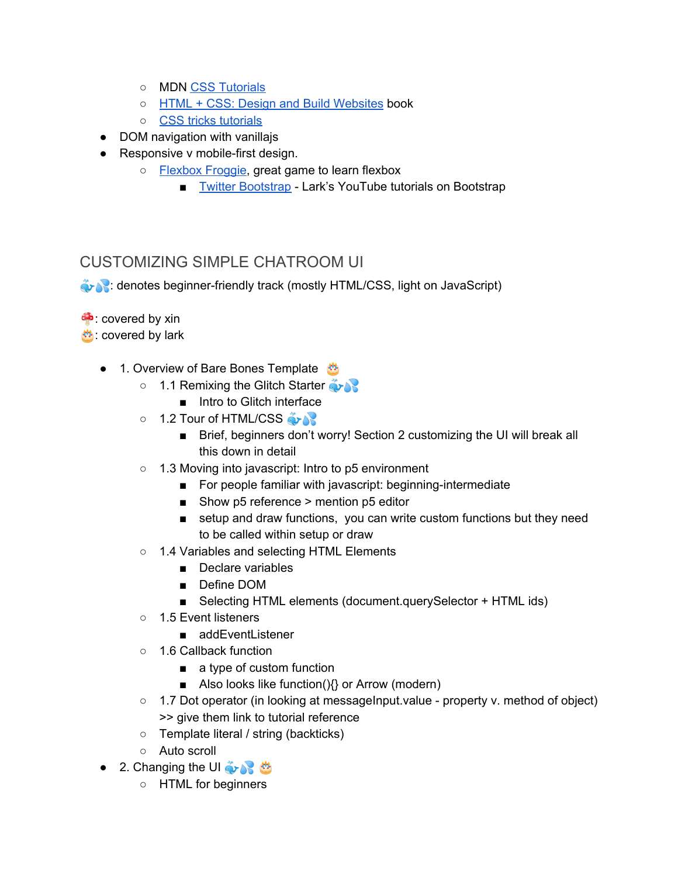- MDN CSS [Tutorials](https://developer.mozilla.org/en-US/docs/Learn/CSS)
- HTML + CSS: Design and Build [Websites](https://wtf.tw/ref/duckett.pdf) book
- CSS tricks [tutorials](https://css-tricks.com/how-css-selectors-work/)
- DOM navigation with vanillajs
- Responsive v mobile-first design.
	- [Flexbox](https://flexboxfroggy.com/) Froggie, great game to learn flexbox
		- Twitter [Bootstrap](https://getbootstrap.com/) Lark's YouTube tutorials on Bootstrap

### CUSTOMIZING SIMPLE CHATROOM UI

**Example: denotes beginner-friendly track (mostly HTML/CSS, light on JavaScript)** 

 $\bullet$  covered by xin

: covered by lark

- 1. Overview of Bare Bones Template
	- 1.1 Remixing the Glitch Starter
		- Intro to Glitch interface
	- 1.2 Tour of HTML/CSS
		- Brief, beginners don't worry! Section 2 customizing the UI will break all this down in detail
	- 1.3 Moving into javascript: Intro to p5 environment
		- For people familiar with javascript: beginning-intermediate
		- Show p5 reference > mention p5 editor
		- setup and draw functions, you can write custom functions but they need to be called within setup or draw
	- 1.4 Variables and selecting HTML Elements
		- Declare variables
		- Define DOM
		- Selecting HTML elements (document.querySelector + HTML ids)
	- 1.5 Event listeners
		- addEventListener
	- 1.6 Callback function
		- a type of custom function
		- Also looks like function() $\{ \}$  or Arrow (modern)
	- 1.7 Dot operator (in looking at messageInput.value property v. method of object) >> give them link to tutorial reference
	- Template literal / string (backticks)
	- Auto scroll
- 2. Changing the UI  $\frac{3}{2}$ 
	- HTML for beginners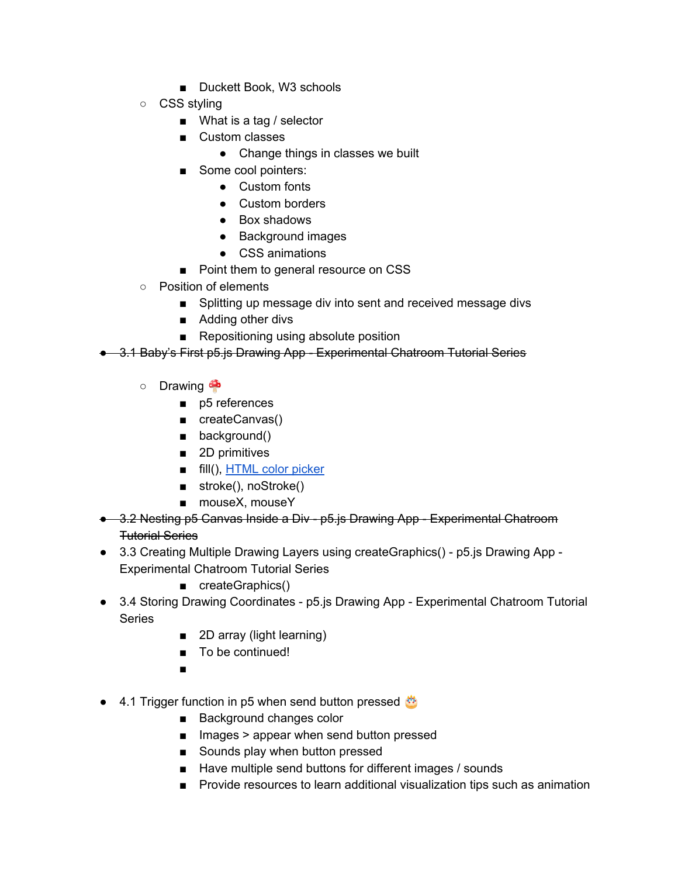- Duckett Book, W3 schools
- CSS styling
	- What is a tag / selector
	- Custom classes
		- Change things in classes we built
	- Some cool pointers:
		- Custom fonts
		- Custom borders
		- Box shadows
		- Background images
		- CSS animations
	- Point them to general resource on CSS
- Position of elements
	- Splitting up message div into sent and received message divs
	- Adding other divs
	- Repositioning using absolute position
- 3.1 Baby's First p5.js Drawing App Experimental Chatroom Tutorial Series
	- Drawing
		- p5 references
		- createCanvas()
		- background()
		- 2D primitives
		- fill(), [HTML](https://www.w3schools.com/colors/colors_picker.asp) color picker
		- stroke(), noStroke()
		- mouseX, mouseY
- 3.2 Nesting p5 Canvas Inside a Div p5.js Drawing App Experimental Chatroom Tutorial Series
- 3.3 Creating Multiple Drawing Layers using createGraphics() p5.js Drawing App Experimental Chatroom Tutorial Series
	- createGraphics()
- 3.4 Storing Drawing Coordinates p5.js Drawing App Experimental Chatroom Tutorial **Series** 
	- 2D array (light learning)
	- To be continued!
	- ■
- 4.1 Trigger function in p5 when send button pressed
	- Background changes color
	- Images > appear when send button pressed
	- Sounds play when button pressed
	- Have multiple send buttons for different images / sounds
	- Provide resources to learn additional visualization tips such as animation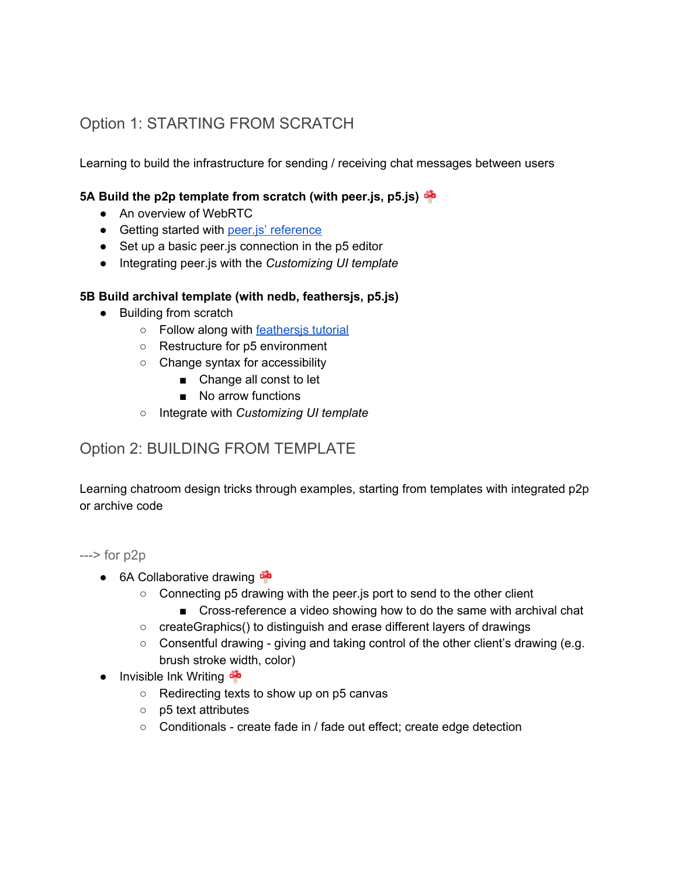### Option 1: STARTING FROM SCRATCH

Learning to build the infrastructure for sending / receiving chat messages between users

### **5A Build the p2p template from scratch (with peer.js, p5.js)**

- An overview of WebRTC
- Getting started with peer.js' [reference](https://peerjs.com/docs.html#api)
- Set up a basic peer.js connection in the p5 editor
- Integrating peer.js with the *Customizing UI template*

#### **5B Build archival template (with nedb, feathersjs, p5.js)**

- Building from scratch
	- Follow along with [feathersjs](https://docs.feathersjs.com/guides/) tutorial
	- Restructure for p5 environment
	- Change syntax for accessibility
		- Change all const to let
		- No arrow functions
	- Integrate with *Customizing UI template*

### Option 2: BUILDING FROM TEMPLATE

Learning chatroom design tricks through examples, starting from templates with integrated p2p or archive code

 $\leftarrow$  > for p2p

- 6A Collaborative drawing
	- Connecting p5 drawing with the peer.js port to send to the other client
		- Cross-reference a video showing how to do the same with archival chat
	- createGraphics() to distinguish and erase different layers of drawings
	- Consentful drawing giving and taking control of the other client's drawing (e.g. brush stroke width, color)
- $\bullet$  Invisible Ink Writing
	- Redirecting texts to show up on p5 canvas
	- p5 text attributes
	- Conditionals create fade in / fade out effect; create edge detection